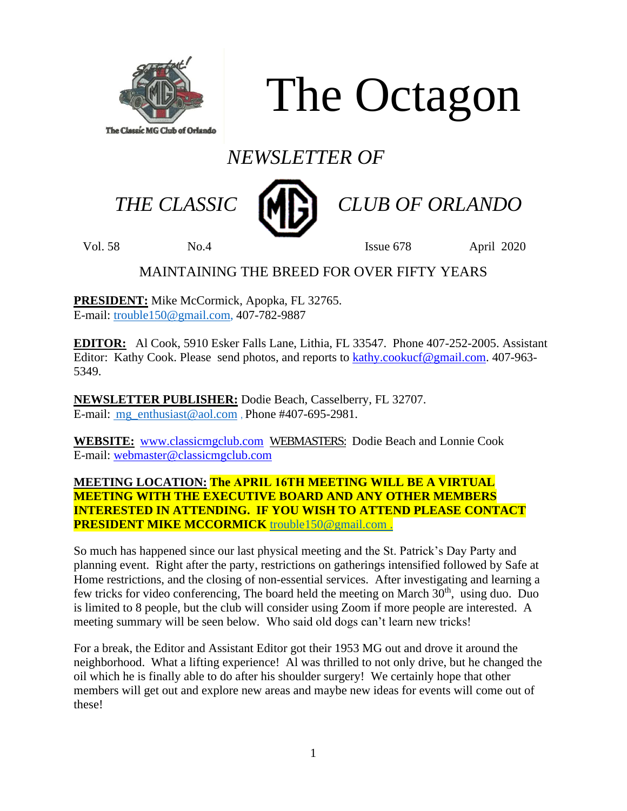

The Octagon

# *NEWSLETTER OF*



 *THE CLASSIC CLUB OF ORLANDO*

Vol. 58 No.4 Issue 678 April 2020

### MAINTAINING THE BREED FOR OVER FIFTY YEARS

**PRESIDENT:** Mike McCormick, Apopka, FL 32765. E-mail: [trouble150@gmail.com,](mailto:trouble150@gmail.com) 407-782-9887

**EDITOR:** Al Cook, 5910 Esker Falls Lane, Lithia, FL 33547. Phone 407-252-2005. Assistant Editor: Kathy Cook. Please send photos, and reports to [kathy.cookucf@gmail.com.](mailto:kathy.cookucf@gmail.com) 407-963-5349.

**NEWSLETTER PUBLISHER:** Dodie Beach, Casselberry, FL 32707. E-mail: mg enthusiast@aol.com , Phone #407-695-2981.

**WEBSITE:** [www.classicmgclub.com](http://www.classicmgclub.com/) WEBMASTERS: Dodie Beach and Lonnie Cook E-mail: [webmaster@classicmgclub.com](mailto:webmaster@classicmgclub.com)

#### **MEETING LOCATION: The APRIL 16TH MEETING WILL BE A VIRTUAL MEETING WITH THE EXECUTIVE BOARD AND ANY OTHER MEMBERS INTERESTED IN ATTENDING. IF YOU WISH TO ATTEND PLEASE CONTACT PRESIDENT MIKE MCCORMICK** [trouble150@gmail.com](mailto:trouble150@gmail.com) .

So much has happened since our last physical meeting and the St. Patrick's Day Party and planning event. Right after the party, restrictions on gatherings intensified followed by Safe at Home restrictions, and the closing of non-essential services. After investigating and learning a few tricks for video conferencing, The board held the meeting on March 30<sup>th</sup>, using duo. Duo is limited to 8 people, but the club will consider using Zoom if more people are interested. A meeting summary will be seen below. Who said old dogs can't learn new tricks!

For a break, the Editor and Assistant Editor got their 1953 MG out and drove it around the neighborhood. What a lifting experience! Al was thrilled to not only drive, but he changed the oil which he is finally able to do after his shoulder surgery! We certainly hope that other members will get out and explore new areas and maybe new ideas for events will come out of these!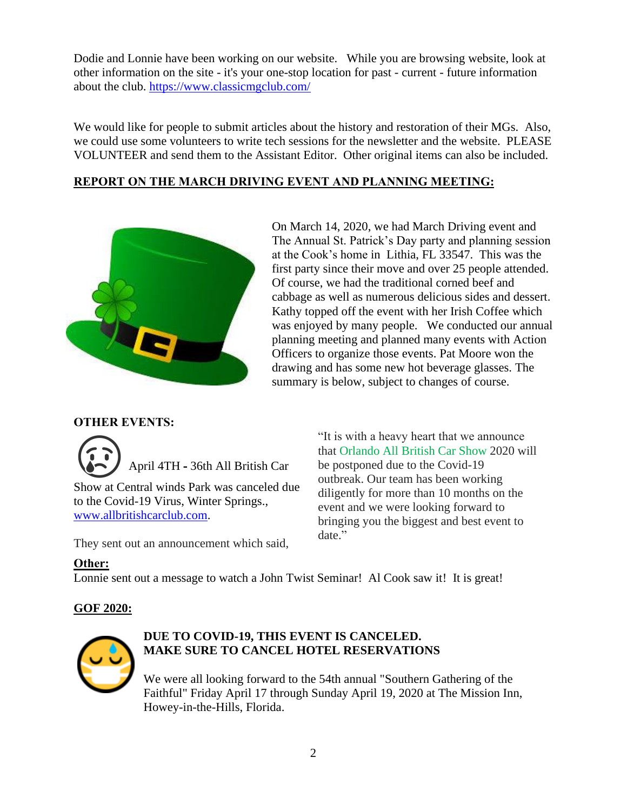Dodie and Lonnie have been working on our website. While you are browsing website, look at other information on the site - it's your one-stop location for past - current - future information about the club. <https://www.classicmgclub.com/>

We would like for people to submit articles about the history and restoration of their MGs. Also, we could use some volunteers to write tech sessions for the newsletter and the website. PLEASE VOLUNTEER and send them to the Assistant Editor. Other original items can also be included.

#### **REPORT ON THE MARCH DRIVING EVENT AND PLANNING MEETING:**



On March 14, 2020, we had March Driving event and The Annual St. Patrick's Day party and planning session at the Cook's home in Lithia, FL 33547. This was the first party since their move and over 25 people attended. Of course, we had the traditional corned beef and cabbage as well as numerous delicious sides and dessert. Kathy topped off the event with her Irish Coffee which was enjoyed by many people. We conducted our annual planning meeting and planned many events with Action Officers to organize those events. Pat Moore won the drawing and has some new hot beverage glasses. The summary is below, subject to changes of course.

#### **OTHER EVENTS:**



to the Covid-19 Virus, Winter Springs., [www.allbritishcarclub.com.](http://www.allbritishcarclub.com/)

They sent out an announcement which said,

"It is with a heavy heart that we announce that Orlando All British Car Show 2020 will be postponed due to the Covid-19 outbreak. Our team has been working diligently for more than 10 months on the event and we were looking forward to bringing you the biggest and best event to date."

#### **Other:**

Lonnie sent out a message to watch a John Twist Seminar! Al Cook saw it! It is great!

#### **GOF 2020:**



#### **DUE TO COVID-19, THIS EVENT IS CANCELED. MAKE SURE TO CANCEL HOTEL RESERVATIONS**

We were all looking forward to the 54th annual "Southern Gathering of the Faithful" Friday April 17 through Sunday April 19, 2020 at The Mission Inn, Howey-in-the-Hills, Florida.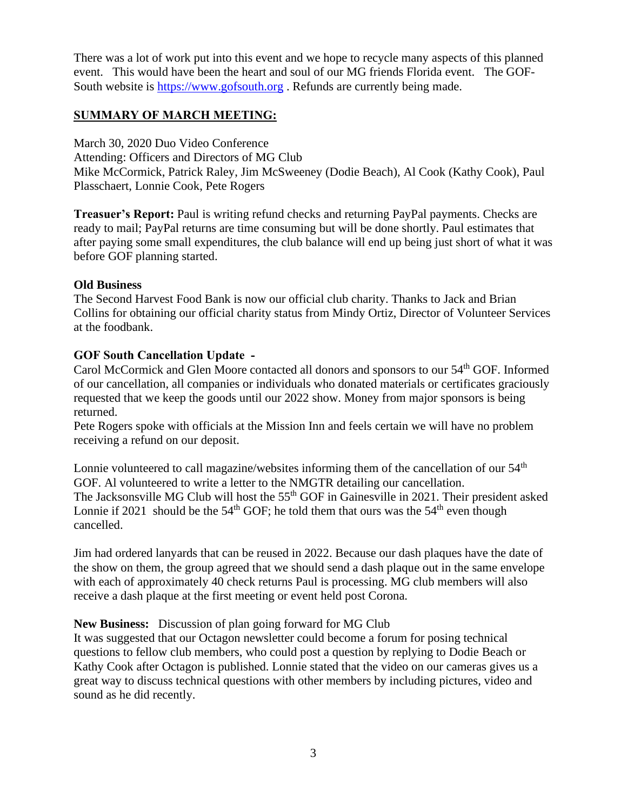There was a lot of work put into this event and we hope to recycle many aspects of this planned event. This would have been the heart and soul of our MG friends Florida event. The GOF-South website is [https://www.gofsouth.org](https://www.gofsouth.org/) . Refunds are currently being made.

#### **SUMMARY OF MARCH MEETING:**

March 30, 2020 Duo Video Conference Attending: Officers and Directors of MG Club Mike McCormick, Patrick Raley, Jim McSweeney (Dodie Beach), Al Cook (Kathy Cook), Paul Plasschaert, Lonnie Cook, Pete Rogers

**Treasuer's Report:** Paul is writing refund checks and returning PayPal payments. Checks are ready to mail; PayPal returns are time consuming but will be done shortly. Paul estimates that after paying some small expenditures, the club balance will end up being just short of what it was before GOF planning started.

#### **Old Business**

The Second Harvest Food Bank is now our official club charity. Thanks to Jack and Brian Collins for obtaining our official charity status from Mindy Ortiz, Director of Volunteer Services at the foodbank.

#### **GOF South Cancellation Update -**

Carol McCormick and Glen Moore contacted all donors and sponsors to our 54th GOF. Informed of our cancellation, all companies or individuals who donated materials or certificates graciously requested that we keep the goods until our 2022 show. Money from major sponsors is being returned.

Pete Rogers spoke with officials at the Mission Inn and feels certain we will have no problem receiving a refund on our deposit.

Lonnie volunteered to call magazine/websites informing them of the cancellation of our  $54<sup>th</sup>$ GOF. Al volunteered to write a letter to the NMGTR detailing our cancellation. The Jacksonsville MG Club will host the 55<sup>th</sup> GOF in Gainesville in 2021. Their president asked Lonnie if 2021 should be the  $54<sup>th</sup>$  GOF; he told them that ours was the  $54<sup>th</sup>$  even though cancelled.

Jim had ordered lanyards that can be reused in 2022. Because our dash plaques have the date of the show on them, the group agreed that we should send a dash plaque out in the same envelope with each of approximately 40 check returns Paul is processing. MG club members will also receive a dash plaque at the first meeting or event held post Corona.

#### **New Business:** Discussion of plan going forward for MG Club

It was suggested that our Octagon newsletter could become a forum for posing technical questions to fellow club members, who could post a question by replying to Dodie Beach or Kathy Cook after Octagon is published. Lonnie stated that the video on our cameras gives us a great way to discuss technical questions with other members by including pictures, video and sound as he did recently.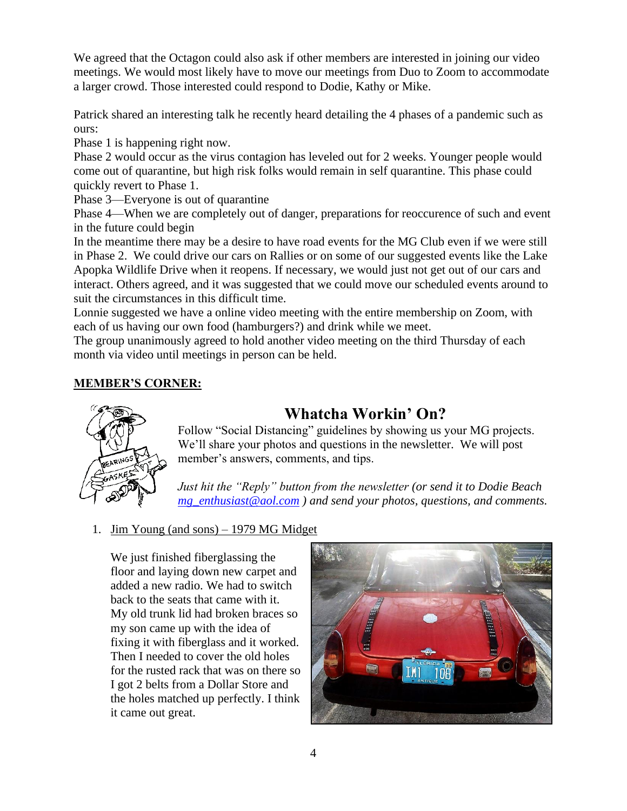We agreed that the Octagon could also ask if other members are interested in joining our video meetings. We would most likely have to move our meetings from Duo to Zoom to accommodate a larger crowd. Those interested could respond to Dodie, Kathy or Mike.

Patrick shared an interesting talk he recently heard detailing the 4 phases of a pandemic such as ours:

Phase 1 is happening right now.

Phase 2 would occur as the virus contagion has leveled out for 2 weeks. Younger people would come out of quarantine, but high risk folks would remain in self quarantine. This phase could quickly revert to Phase 1.

Phase 3—Everyone is out of quarantine

Phase 4—When we are completely out of danger, preparations for reoccurence of such and event in the future could begin

In the meantime there may be a desire to have road events for the MG Club even if we were still in Phase 2. We could drive our cars on Rallies or on some of our suggested events like the Lake Apopka Wildlife Drive when it reopens. If necessary, we would just not get out of our cars and interact. Others agreed, and it was suggested that we could move our scheduled events around to suit the circumstances in this difficult time.

Lonnie suggested we have a online video meeting with the entire membership on Zoom, with each of us having our own food (hamburgers?) and drink while we meet.

The group unanimously agreed to hold another video meeting on the third Thursday of each month via video until meetings in person can be held.

#### **MEMBER'S CORNER:**



## **Whatcha Workin' On?**

Follow "Social Distancing" guidelines by showing us your MG projects. We'll share your photos and questions in the newsletter. We will post member's answers, comments, and tips.

*Just hit the "Reply" button from the newsletter (or send it to Dodie Beach [mg\\_enthusiast@aol.com](mailto:mg_enthusiast@aol.com) ) and send your photos, questions, and comments.* 

#### 1. Jim Young (and sons) – 1979 MG Midget

We just finished fiberglassing the floor and laying down new carpet and added a new radio. We had to switch back to the seats that came with it. My old trunk lid had broken braces so my son came up with the idea of fixing it with fiberglass and it worked. Then I needed to cover the old holes for the rusted rack that was on there so I got 2 belts from a Dollar Store and the holes matched up perfectly. I think it came out great.

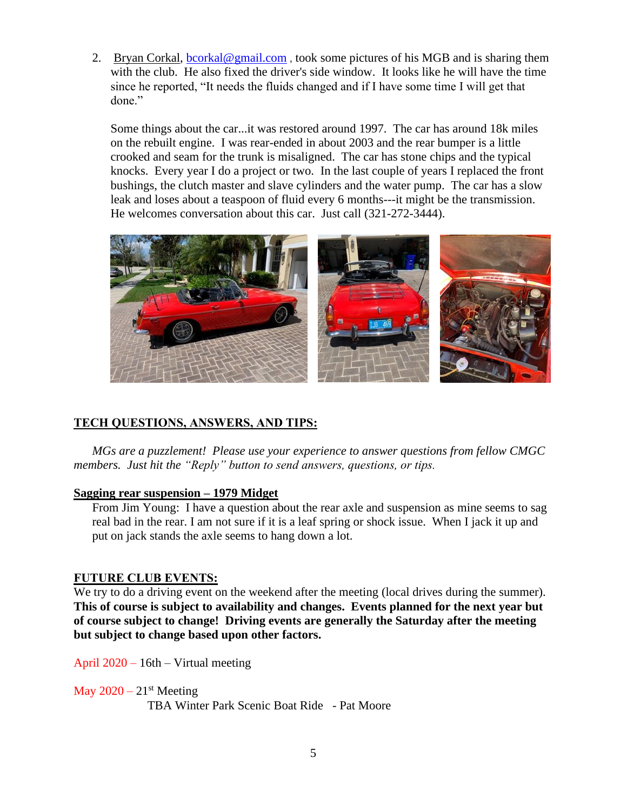2. Bryan Corkal, [bcorkal@gmail.com](mailto:bcorkal@gmail.com), took some pictures of his MGB and is sharing them with the club. He also fixed the driver's side window. It looks like he will have the time since he reported, "It needs the fluids changed and if I have some time I will get that done."

Some things about the car...it was restored around 1997. The car has around 18k miles on the rebuilt engine. I was rear-ended in about 2003 and the rear bumper is a little crooked and seam for the trunk is misaligned. The car has stone chips and the typical knocks. Every year I do a project or two. In the last couple of years I replaced the front bushings, the clutch master and slave cylinders and the water pump. The car has a slow leak and loses about a teaspoon of fluid every 6 months---it might be the transmission. He welcomes conversation about this car. Just call (321-272-3444).



#### **TECH QUESTIONS, ANSWERS, AND TIPS:**

*MGs are a puzzlement! Please use your experience to answer questions from fellow CMGC members. Just hit the "Reply" button to send answers, questions, or tips.*

#### **Sagging rear suspension – 1979 Midget**

From Jim Young: I have a question about the rear axle and suspension as mine seems to sag real bad in the rear. I am not sure if it is a leaf spring or shock issue. When I jack it up and put on jack stands the axle seems to hang down a lot.

#### **FUTURE CLUB EVENTS:**

We try to do a driving event on the weekend after the meeting (local drives during the summer). **This of course is subject to availability and changes. Events planned for the next year but of course subject to change! Driving events are generally the Saturday after the meeting but subject to change based upon other factors.**

April 2020 – 16th – Virtual meeting

May  $2020 - 21$ <sup>st</sup> Meeting

TBA Winter Park Scenic Boat Ride - Pat Moore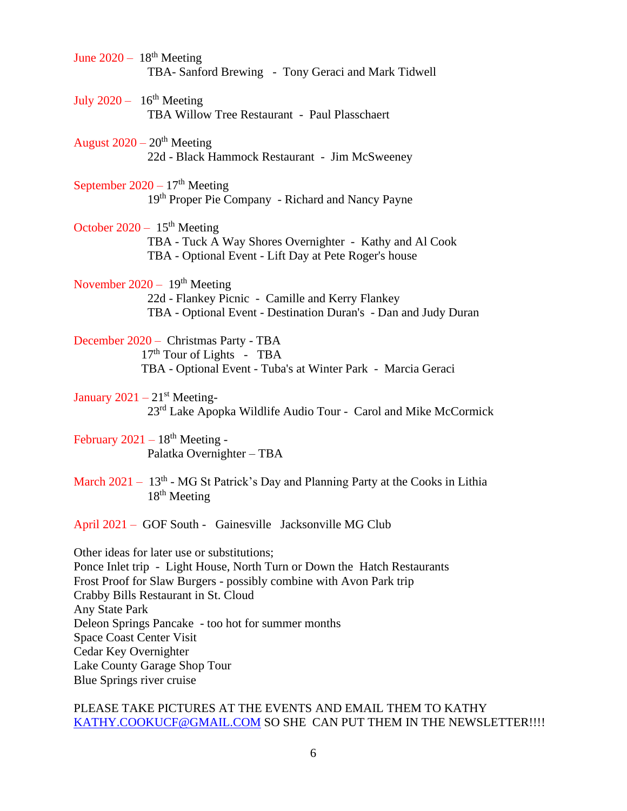- June  $2020 18^{th}$  Meeting TBA- Sanford Brewing - Tony Geraci and Mark Tidwell
- July  $2020 16^{th}$  Meeting TBA Willow Tree Restaurant - Paul Plasschaert
- August  $2020 20<sup>th</sup>$  Meeting 22d - Black Hammock Restaurant - Jim McSweeney
- September  $2020 17<sup>th</sup>$  Meeting 19<sup>th</sup> Proper Pie Company - Richard and Nancy Payne
- October  $2020 15<sup>th</sup>$  Meeting TBA - Tuck A Way Shores Overnighter - Kathy and Al Cook TBA - Optional Event - Lift Day at Pete Roger's house
- November 2020  $19<sup>th</sup>$  Meeting 22d - Flankey Picnic - Camille and Kerry Flankey TBA - Optional Event - Destination Duran's - Dan and Judy Duran
- December 2020 Christmas Party TBA  $17<sup>th</sup>$  Tour of Lights - TBA TBA - Optional Event - Tuba's at Winter Park - Marcia Geraci
- January  $2021 21$ <sup>st</sup> Meeting-23<sup>rd</sup> Lake Apopka Wildlife Audio Tour - Carol and Mike McCormick
- February  $2021 18$ <sup>th</sup> Meeting -Palatka Overnighter – TBA
- March  $2021 13<sup>th</sup>$  MG St Patrick's Day and Planning Party at the Cooks in Lithia  $18<sup>th</sup>$  Meeting
- April 2021 GOF South Gainesville Jacksonville MG Club

Other ideas for later use or substitutions; Ponce Inlet trip - Light House, North Turn or Down the Hatch Restaurants Frost Proof for Slaw Burgers - possibly combine with Avon Park trip Crabby Bills Restaurant in St. Cloud Any State Park Deleon Springs Pancake - too hot for summer months Space Coast Center Visit Cedar Key Overnighter Lake County Garage Shop Tour Blue Springs river cruise

#### PLEASE TAKE PICTURES AT THE EVENTS AND EMAIL THEM TO KATHY [KATHY.COOKUCF@GMAIL.COM](mailto:Kathy.cookucf@gmail.com) SO SHE CAN PUT THEM IN THE NEWSLETTER!!!!